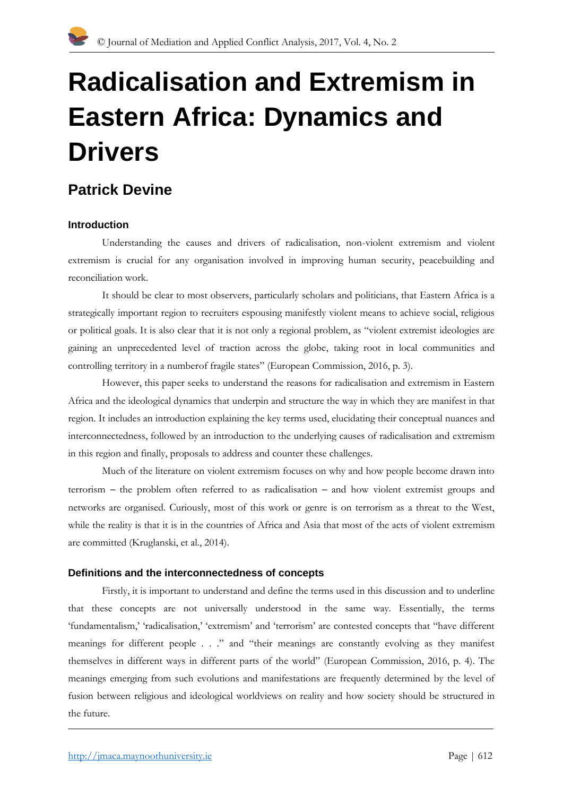# **Radicalisation and Extremism in Eastern Africa: Dynamics and Drivers**

# **Patrick Devine**

# **Introduction**

Understanding the causes and drivers of radicalisation, non-violent extremism and violent extremism is crucial for any organisation involved in improving human security, peacebuilding and reconciliation work.

It should be clear to most observers, particularly scholars and politicians, that Eastern Africa is a strategically important region to recruiters espousing manifestly violent means to achieve social, religious or political goals. It is also clear that it is not only a regional problem, as "violent extremist ideologies are gaining an unprecedented level of traction across the globe, taking root in local communities and controlling territory in a numberof fragile states" (European Commission, 2016, p. 3).

However, this paper seeks to understand the reasons for radicalisation and extremism in Eastern Africa and the ideological dynamics that underpin and structure the way in which they are manifest in that region. It includes an introduction explaining the key terms used, elucidating their conceptual nuances and interconnectedness, followed by an introduction to the underlying causes of radicalisation and extremism in this region and finally, proposals to address and counter these challenges.

Much of the literature on violent extremism focuses on why and how people become drawn into terrorism – the problem often referred to as radicalisation – and how violent extremist groups and networks are organised. Curiously, most of this work or genre is on terrorism as a threat to the West, while the reality is that it is in the countries of Africa and Asia that most of the acts of violent extremism are committed (Kruglanski, et al., 2014).

#### **Definitions and the interconnectedness of concepts**

Firstly, it is important to understand and define the terms used in this discussion and to underline that these concepts are not universally understood in the same way. Essentially, the terms 'fundamentalism,' 'radicalisation,' 'extremism' and 'terrorism' are contested concepts that "have different meanings for different people . . ." and "their meanings are constantly evolving as they manifest themselves in different ways in different parts of the world" (European Commission, 2016, p. 4). The meanings emerging from such evolutions and manifestations are frequently determined by the level of fusion between religious and ideological worldviews on reality and how society should be structured in the future.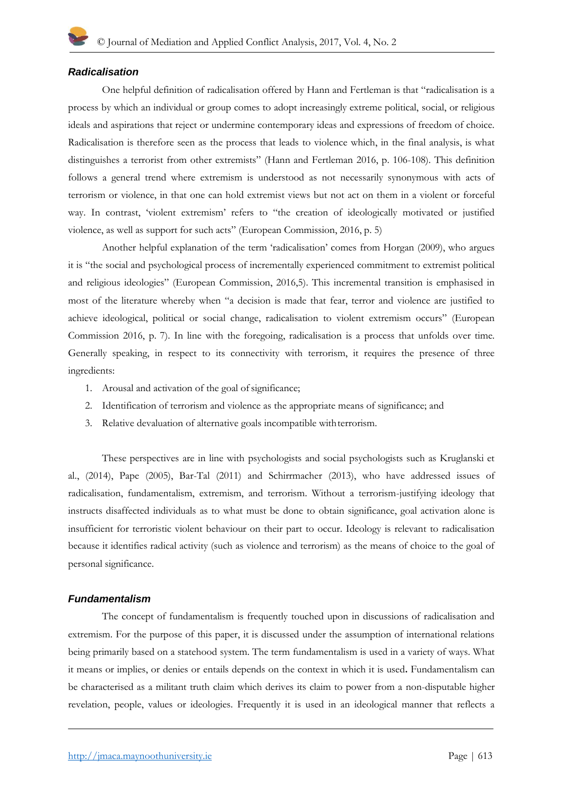#### *Radicalisation*

One helpful definition of radicalisation offered by Hann and Fertleman is that "radicalisation is a process by which an individual or group comes to adopt increasingly extreme political, social, or religious ideals and aspirations that reject or undermine contemporary ideas and expressions of freedom of choice. Radicalisation is therefore seen as the process that leads to violence which, in the final analysis, is what distinguishes a terrorist from other extremists" (Hann and Fertleman 2016, p. 106-108). This definition follows a general trend where extremism is understood as not necessarily synonymous with acts of terrorism or violence, in that one can hold extremist views but not act on them in a violent or forceful way. In contrast, 'violent extremism' refers to "the creation of ideologically motivated or justified violence, as well as support for such acts" (European Commission, 2016, p. 5)

Another helpful explanation of the term 'radicalisation' comes from Horgan (2009), who argues it is "the social and psychological process of incrementally experienced commitment to extremist political and religious ideologies" (European Commission, 2016,5). This incremental transition is emphasised in most of the literature whereby when "a decision is made that fear, terror and violence are justified to achieve ideological, political or social change, radicalisation to violent extremism occurs" (European Commission 2016, p. 7). In line with the foregoing, radicalisation is a process that unfolds over time. Generally speaking, in respect to its connectivity with terrorism, it requires the presence of three ingredients:

- 1. Arousal and activation of the goal of significance;
- 2. Identification of terrorism and violence as the appropriate means of significance; and
- 3. Relative devaluation of alternative goals incompatible withterrorism.

These perspectives are in line with psychologists and social psychologists such as Kruglanski et al., (2014), Pape (2005), Bar-Tal (2011) and Schirrmacher (2013), who have addressed issues of radicalisation, fundamentalism, extremism, and terrorism. Without a terrorism-justifying ideology that instructs disaffected individuals as to what must be done to obtain significance, goal activation alone is insufficient for terroristic violent behaviour on their part to occur. Ideology is relevant to radicalisation because it identifies radical activity (such as violence and terrorism) as the means of choice to the goal of personal significance.

#### *Fundamentalism*

The concept of fundamentalism is frequently touched upon in discussions of radicalisation and extremism. For the purpose of this paper, it is discussed under the assumption of international relations being primarily based on a statehood system. The term fundamentalism is used in a variety of ways. What it means or implies, or denies or entails depends on the context in which it is used**.** Fundamentalism can be characterised as a militant truth claim which derives its claim to power from a non-disputable higher revelation, people, values or ideologies. Frequently it is used in an ideological manner that reflects a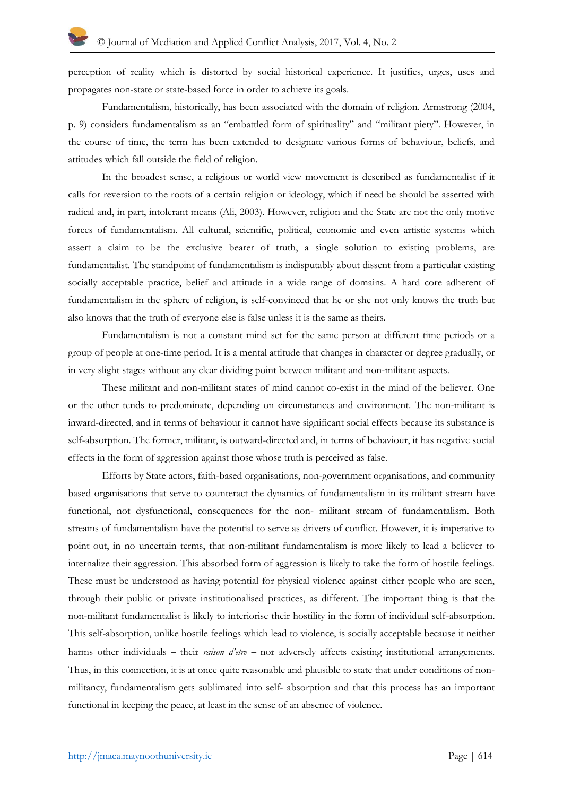perception of reality which is distorted by social historical experience. It justifies, urges, uses and propagates non-state or state-based force in order to achieve its goals.

Fundamentalism, historically, has been associated with the domain of religion. Armstrong (2004, p. 9) considers fundamentalism as an "embattled form of spirituality" and "militant piety". However, in the course of time, the term has been extended to designate various forms of behaviour, beliefs, and attitudes which fall outside the field of religion.

In the broadest sense, a religious or world view movement is described as fundamentalist if it calls for reversion to the roots of a certain religion or ideology, which if need be should be asserted with radical and, in part, intolerant means (Ali, 2003). However, religion and the State are not the only motive forces of fundamentalism. All cultural, scientific, political, economic and even artistic systems which assert a claim to be the exclusive bearer of truth, a single solution to existing problems, are fundamentalist. The standpoint of fundamentalism is indisputably about dissent from a particular existing socially acceptable practice, belief and attitude in a wide range of domains. A hard core adherent of fundamentalism in the sphere of religion, is self-convinced that he or she not only knows the truth but also knows that the truth of everyone else is false unless it is the same as theirs.

Fundamentalism is not a constant mind set for the same person at different time periods or a group of people at one-time period. It is a mental attitude that changes in character or degree gradually, or in very slight stages without any clear dividing point between militant and non-militant aspects.

These militant and non-militant states of mind cannot co-exist in the mind of the believer. One or the other tends to predominate, depending on circumstances and environment. The non-militant is inward-directed, and in terms of behaviour it cannot have significant social effects because its substance is self-absorption. The former, militant, is outward-directed and, in terms of behaviour, it has negative social effects in the form of aggression against those whose truth is perceived as false.

Efforts by State actors, faith-based organisations, non-government organisations, and community based organisations that serve to counteract the dynamics of fundamentalism in its militant stream have functional, not dysfunctional, consequences for the non- militant stream of fundamentalism. Both streams of fundamentalism have the potential to serve as drivers of conflict. However, it is imperative to point out, in no uncertain terms, that non-militant fundamentalism is more likely to lead a believer to internalize their aggression. This absorbed form of aggression is likely to take the form of hostile feelings. These must be understood as having potential for physical violence against either people who are seen, through their public or private institutionalised practices, as different. The important thing is that the non-militant fundamentalist is likely to interiorise their hostility in the form of individual self-absorption. This self-absorption, unlike hostile feelings which lead to violence, is socially acceptable because it neither harms other individuals – their *raison d'etre* – nor adversely affects existing institutional arrangements. Thus, in this connection, it is at once quite reasonable and plausible to state that under conditions of nonmilitancy, fundamentalism gets sublimated into self- absorption and that this process has an important functional in keeping the peace, at least in the sense of an absence of violence.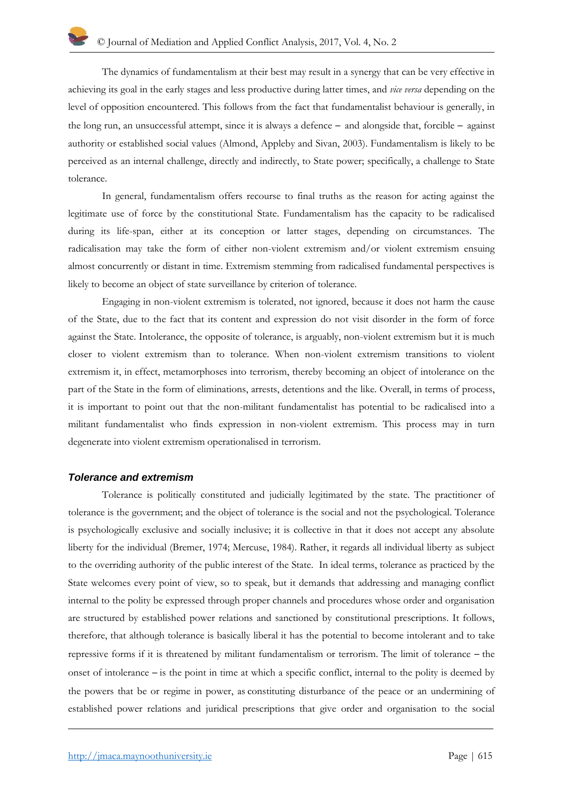The dynamics of fundamentalism at their best may result in a synergy that can be very effective in achieving its goal in the early stages and less productive during latter times, and *vice versa* depending on the level of opposition encountered. This follows from the fact that fundamentalist behaviour is generally, in the long run, an unsuccessful attempt, since it is always a defence – and alongside that, forcible – against authority or established social values (Almond, Appleby and Sivan, 2003). Fundamentalism is likely to be perceived as an internal challenge, directly and indirectly, to State power; specifically, a challenge to State tolerance.

In general, fundamentalism offers recourse to final truths as the reason for acting against the legitimate use of force by the constitutional State. Fundamentalism has the capacity to be radicalised during its life-span, either at its conception or latter stages, depending on circumstances. The radicalisation may take the form of either non-violent extremism and/or violent extremism ensuing almost concurrently or distant in time. Extremism stemming from radicalised fundamental perspectives is likely to become an object of state surveillance by criterion of tolerance.

Engaging in non-violent extremism is tolerated, not ignored, because it does not harm the cause of the State, due to the fact that its content and expression do not visit disorder in the form of force against the State. Intolerance, the opposite of tolerance, is arguably, non-violent extremism but it is much closer to violent extremism than to tolerance. When non-violent extremism transitions to violent extremism it, in effect, metamorphoses into terrorism, thereby becoming an object of intolerance on the part of the State in the form of eliminations, arrests, detentions and the like. Overall, in terms of process, it is important to point out that the non-militant fundamentalist has potential to be radicalised into a militant fundamentalist who finds expression in non-violent extremism. This process may in turn degenerate into violent extremism operationalised in terrorism.

# *Tolerance and extremism*

Tolerance is politically constituted and judicially legitimated by the state. The practitioner of tolerance is the government; and the object of tolerance is the social and not the psychological. Tolerance is psychologically exclusive and socially inclusive; it is collective in that it does not accept any absolute liberty for the individual (Bremer, 1974; Mercuse, 1984). Rather, it regards all individual liberty as subject to the overriding authority of the public interest of the State. In ideal terms, tolerance as practiced by the State welcomes every point of view, so to speak, but it demands that addressing and managing conflict internal to the polity be expressed through proper channels and procedures whose order and organisation are structured by established power relations and sanctioned by constitutional prescriptions. It follows, therefore, that although tolerance is basically liberal it has the potential to become intolerant and to take repressive forms if it is threatened by militant fundamentalism or terrorism. The limit of tolerance – the onset of intolerance – is the point in time at which a specific conflict, internal to the polity is deemed by the powers that be or regime in power, as constituting disturbance of the peace or an undermining of established power relations and juridical prescriptions that give order and organisation to the social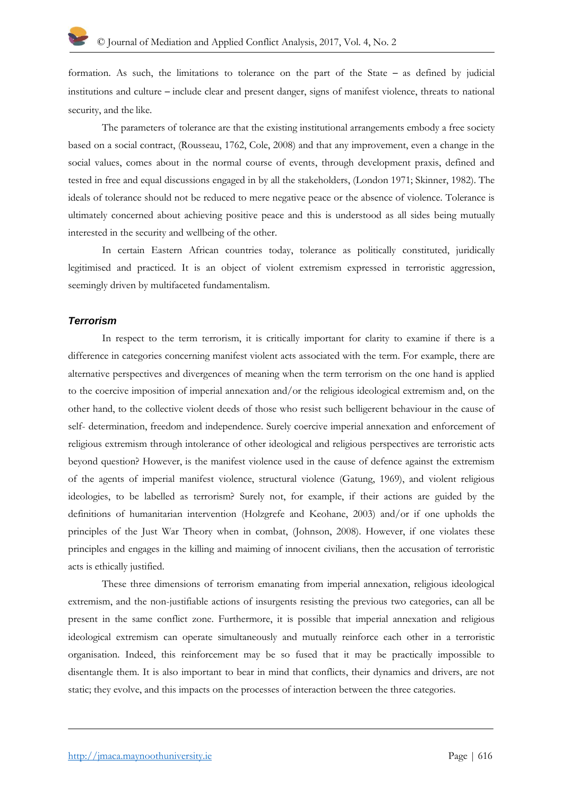formation. As such, the limitations to tolerance on the part of the State – as defined by judicial institutions and culture – include clear and present danger, signs of manifest violence, threats to national security, and the like.

The parameters of tolerance are that the existing institutional arrangements embody a free society based on a social contract, (Rousseau, 1762, Cole, 2008) and that any improvement, even a change in the social values, comes about in the normal course of events, through development praxis, defined and tested in free and equal discussions engaged in by all the stakeholders, (London 1971; Skinner, 1982). The ideals of tolerance should not be reduced to mere negative peace or the absence of violence. Tolerance is ultimately concerned about achieving positive peace and this is understood as all sides being mutually interested in the security and wellbeing of the other.

In certain Eastern African countries today, tolerance as politically constituted, juridically legitimised and practiced. It is an object of violent extremism expressed in terroristic aggression, seemingly driven by multifaceted fundamentalism.

#### *Terrorism*

In respect to the term terrorism, it is critically important for clarity to examine if there is a difference in categories concerning manifest violent acts associated with the term. For example, there are alternative perspectives and divergences of meaning when the term terrorism on the one hand is applied to the coercive imposition of imperial annexation and/or the religious ideological extremism and, on the other hand, to the collective violent deeds of those who resist such belligerent behaviour in the cause of self- determination, freedom and independence. Surely coercive imperial annexation and enforcement of religious extremism through intolerance of other ideological and religious perspectives are terroristic acts beyond question? However, is the manifest violence used in the cause of defence against the extremism of the agents of imperial manifest violence, structural violence (Gatung, 1969), and violent religious ideologies, to be labelled as terrorism? Surely not, for example, if their actions are guided by the definitions of humanitarian intervention (Holzgrefe and Keohane, 2003) and/or if one upholds the principles of the Just War Theory when in combat, [\(Johnson,](https://philpapers.org/s/James%20Turner%20Johnson) 2008). However, if one violates these principles and engages in the killing and maiming of innocent civilians, then the accusation of terroristic acts is ethically justified.

These three dimensions of terrorism emanating from imperial annexation, religious ideological extremism, and the non-justifiable actions of insurgents resisting the previous two categories, can all be present in the same conflict zone. Furthermore, it is possible that imperial annexation and religious ideological extremism can operate simultaneously and mutually reinforce each other in a terroristic organisation. Indeed, this reinforcement may be so fused that it may be practically impossible to disentangle them. It is also important to bear in mind that conflicts, their dynamics and drivers, are not static; they evolve, and this impacts on the processes of interaction between the three categories.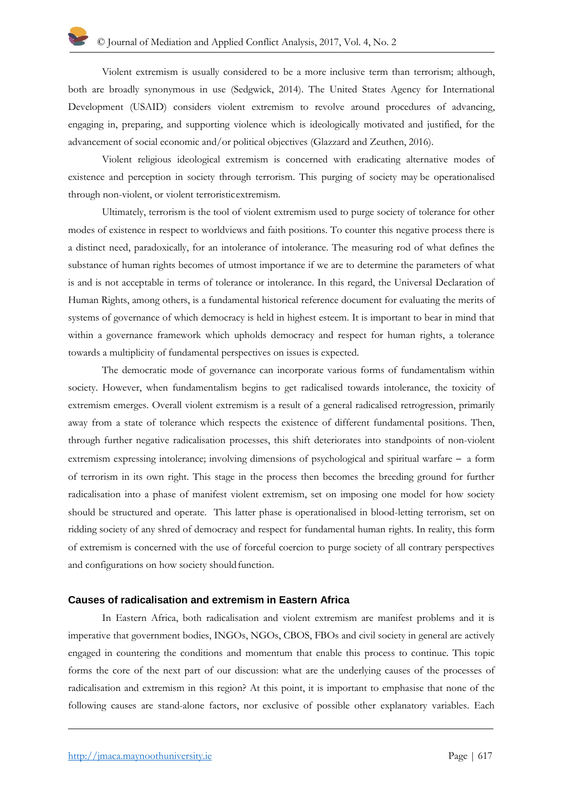Violent extremism is usually considered to be a more inclusive term than terrorism; although, both are broadly synonymous in use (Sedgwick, 2014). The United States Agency for International Development (USAID) considers violent extremism to revolve around procedures of advancing, engaging in, preparing, and supporting violence which is ideologically motivated and justified, for the advancement of social economic and/or political objectives (Glazzard and Zeuthen, 2016).

Violent religious ideological extremism is concerned with eradicating alternative modes of existence and perception in society through terrorism. This purging of society may be operationalised through non-violent, or violent terroristicextremism.

Ultimately, terrorism is the tool of violent extremism used to purge society of tolerance for other modes of existence in respect to worldviews and faith positions. To counter this negative process there is a distinct need, paradoxically, for an intolerance of intolerance. The measuring rod of what defines the substance of human rights becomes of utmost importance if we are to determine the parameters of what is and is not acceptable in terms of tolerance or intolerance. In this regard, the Universal Declaration of Human Rights, among others, is a fundamental historical reference document for evaluating the merits of systems of governance of which democracy is held in highest esteem. It is important to bear in mind that within a governance framework which upholds democracy and respect for human rights, a tolerance towards a multiplicity of fundamental perspectives on issues is expected.

The democratic mode of governance can incorporate various forms of fundamentalism within society. However, when fundamentalism begins to get radicalised towards intolerance, the toxicity of extremism emerges. Overall violent extremism is a result of a general radicalised retrogression, primarily away from a state of tolerance which respects the existence of different fundamental positions. Then, through further negative radicalisation processes, this shift deteriorates into standpoints of non-violent extremism expressing intolerance; involving dimensions of psychological and spiritual warfare – a form of terrorism in its own right. This stage in the process then becomes the breeding ground for further radicalisation into a phase of manifest violent extremism, set on imposing one model for how society should be structured and operate. This latter phase is operationalised in blood-letting terrorism, set on ridding society of any shred of democracy and respect for fundamental human rights. In reality, this form of extremism is concerned with the use of forceful coercion to purge society of all contrary perspectives and configurations on how society should function.

#### **Causes of radicalisation and extremism in Eastern Africa**

In Eastern Africa, both radicalisation and violent extremism are manifest problems and it is imperative that government bodies, INGOs, NGOs, CBOS, FBOs and civil society in general are actively engaged in countering the conditions and momentum that enable this process to continue. This topic forms the core of the next part of our discussion: what are the underlying causes of the processes of radicalisation and extremism in this region? At this point, it is important to emphasise that none of the following causes are stand-alone factors, nor exclusive of possible other explanatory variables. Each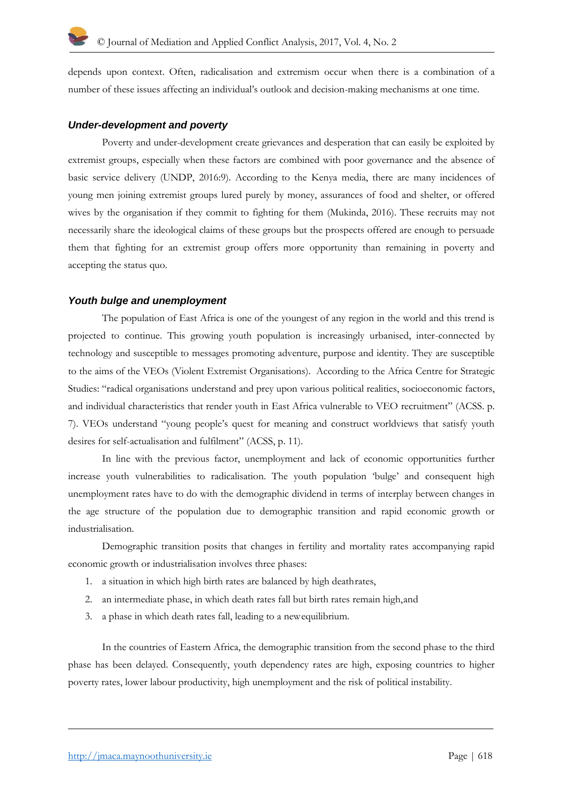depends upon context. Often, radicalisation and extremism occur when there is a combination of a number of these issues affecting an individual's outlook and decision-making mechanisms at one time.

# *Under-development and poverty*

Poverty and under-development create grievances and desperation that can easily be exploited by extremist groups, especially when these factors are combined with poor governance and the absence of basic service delivery (UNDP, 2016:9). According to the Kenya media, there are many incidences of young men joining extremist groups lured purely by money, assurances of food and shelter, or offered wives by the organisation if they commit to fighting for them (Mukinda, 2016). These recruits may not necessarily share the ideological claims of these groups but the prospects offered are enough to persuade them that fighting for an extremist group offers more opportunity than remaining in poverty and accepting the status quo.

#### *Youth bulge and unemployment*

The population of East Africa is one of the youngest of any region in the world and this trend is projected to continue. This growing youth population is increasingly urbanised, inter-connected by technology and susceptible to messages promoting adventure, purpose and identity. They are susceptible to the aims of the VEOs (Violent Extremist Organisations). According to the Africa Centre for Strategic Studies: "radical organisations understand and prey upon various political realities, socioeconomic factors, and individual characteristics that render youth in East Africa vulnerable to VEO recruitment" (ACSS. p. 7). VEOs understand "young people's quest for meaning and construct worldviews that satisfy youth desires for self-actualisation and fulfilment" (ACSS, p. 11).

In line with the previous factor, unemployment and lack of economic opportunities further increase youth vulnerabilities to radicalisation. The youth population 'bulge' and consequent high unemployment rates have to do with the demographic dividend in terms of interplay between changes in the age structure of the population due to demographic transition and rapid economic growth or industrialisation.

Demographic transition posits that changes in fertility and mortality rates accompanying rapid economic growth or industrialisation involves three phases:

- 1. a situation in which high birth rates are balanced by high deathrates,
- 2. an intermediate phase, in which death rates fall but birth rates remain high,and
- 3. a phase in which death rates fall, leading to a newequilibrium.

In the countries of Eastern Africa, the demographic transition from the second phase to the third phase has been delayed. Consequently, youth dependency rates are high, exposing countries to higher poverty rates, lower labour productivity, high unemployment and the risk of political instability.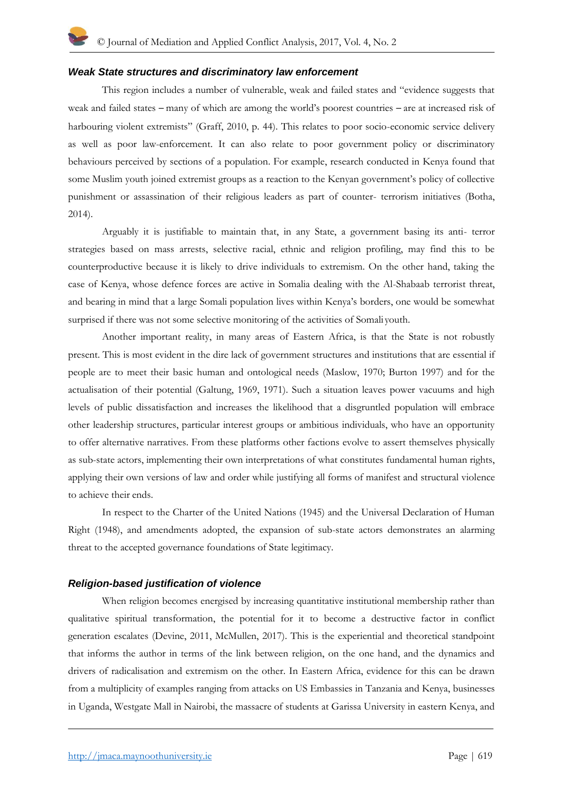#### *Weak State structures and discriminatory law enforcement*

This region includes a number of vulnerable, weak and failed states and "evidence suggests that weak and failed states – many of which are among the world's poorest countries – are at increased risk of harbouring violent extremists" (Graff, 2010, p. 44). This relates to poor socio-economic service delivery as well as poor law-enforcement. It can also relate to poor government policy or discriminatory behaviours perceived by sections of a population. For example, research conducted in Kenya found that some Muslim youth joined extremist groups as a reaction to the Kenyan government's policy of collective punishment or assassination of their religious leaders as part of counter- terrorism initiatives (Botha, 2014).

Arguably it is justifiable to maintain that, in any State, a government basing its anti- terror strategies based on mass arrests, selective racial, ethnic and religion profiling, may find this to be counterproductive because it is likely to drive individuals to extremism. On the other hand, taking the case of Kenya, whose defence forces are active in Somalia dealing with the Al-Shabaab terrorist threat, and bearing in mind that a large Somali population lives within Kenya's borders, one would be somewhat surprised if there was not some selective monitoring of the activities of Somali youth.

Another important reality, in many areas of Eastern Africa, is that the State is not robustly present. This is most evident in the dire lack of government structures and institutions that are essential if people are to meet their basic human and ontological needs (Maslow, 1970; Burton 1997) and for the actualisation of their potential (Galtung, 1969, 1971). Such a situation leaves power vacuums and high levels of public dissatisfaction and increases the likelihood that a disgruntled population will embrace other leadership structures, particular interest groups or ambitious individuals, who have an opportunity to offer alternative narratives. From these platforms other factions evolve to assert themselves physically as sub-state actors, implementing their own interpretations of what constitutes fundamental human rights, applying their own versions of law and order while justifying all forms of manifest and structural violence to achieve their ends.

In respect to the Charter of the United Nations (1945) and the Universal Declaration of Human Right (1948), and amendments adopted, the expansion of sub-state actors demonstrates an alarming threat to the accepted governance foundations of State legitimacy.

# *Religion-based justification of violence*

When religion becomes energised by increasing quantitative institutional membership rather than qualitative spiritual transformation, the potential for it to become a destructive factor in conflict generation escalates (Devine, 2011, McMullen, 2017). This is the experiential and theoretical standpoint that informs the author in terms of the link between religion, on the one hand, and the dynamics and drivers of radicalisation and extremism on the other. In Eastern Africa, evidence for this can be drawn from a multiplicity of examples ranging from attacks on US Embassies in Tanzania and Kenya, businesses in Uganda, Westgate Mall in Nairobi, the massacre of students at Garissa University in eastern Kenya, and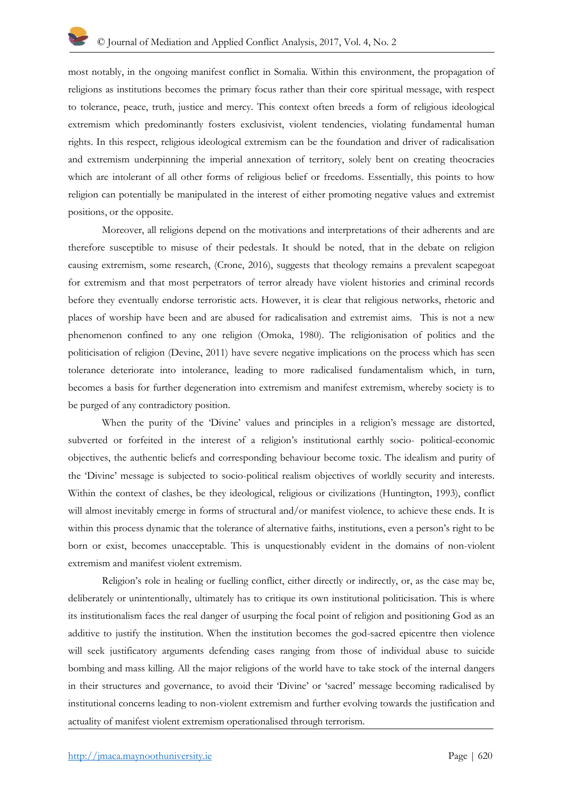most notably, in the ongoing manifest conflict in Somalia. Within this environment, the propagation of religions as institutions becomes the primary focus rather than their core spiritual message, with respect to tolerance, peace, truth, justice and mercy. This context often breeds a form of religious ideological extremism which predominantly fosters exclusivist, violent tendencies, violating fundamental human rights. In this respect, religious ideological extremism can be the foundation and driver of radicalisation and extremism underpinning the imperial annexation of territory, solely bent on creating theocracies which are intolerant of all other forms of religious belief or freedoms. Essentially, this points to how religion can potentially be manipulated in the interest of either promoting negative values and extremist positions, or the opposite.

Moreover, all religions depend on the motivations and interpretations of their adherents and are therefore susceptible to misuse of their pedestals. It should be noted, that in the debate on religion causing extremism, some research, (Crone, 2016), suggests that theology remains a prevalent scapegoat for extremism and that most perpetrators of terror already have violent histories and criminal records before they eventually endorse terroristic acts. However, it is clear that religious networks, rhetoric and places of worship have been and are abused for radicalisation and extremist aims. This is not a new phenomenon confined to any one religion (Omoka, 1980). The religionisation of politics and the politicisation of religion (Devine, 2011) have severe negative implications on the process which has seen tolerance deteriorate into intolerance, leading to more radicalised fundamentalism which, in turn, becomes a basis for further degeneration into extremism and manifest extremism, whereby society is to be purged of any contradictory position.

When the purity of the 'Divine' values and principles in a religion's message are distorted, subverted or forfeited in the interest of a religion's institutional earthly socio- political-economic objectives, the authentic beliefs and corresponding behaviour become toxic. The idealism and purity of the 'Divine' message is subjected to socio-political realism objectives of worldly security and interests. Within the context of clashes, be they ideological, religious or civilizations (Huntington, 1993), conflict will almost inevitably emerge in forms of structural and/or manifest violence, to achieve these ends. It is within this process dynamic that the tolerance of alternative faiths, institutions, even a person's right to be born or exist, becomes unacceptable. This is unquestionably evident in the domains of non-violent extremism and manifest violent extremism.

Religion's role in healing or fuelling conflict, either directly or indirectly, or, as the case may be, deliberately or unintentionally, ultimately has to critique its own institutional politicisation. This is where its institutionalism faces the real danger of usurping the focal point of religion and positioning God as an additive to justify the institution. When the institution becomes the god-sacred epicentre then violence will seek justificatory arguments defending cases ranging from those of individual abuse to suicide bombing and mass killing. All the major religions of the world have to take stock of the internal dangers in their structures and governance, to avoid their 'Divine' or 'sacred' message becoming radicalised by institutional concerns leading to non-violent extremism and further evolving towards the justification and actuality of manifest violent extremism operationalised through terrorism.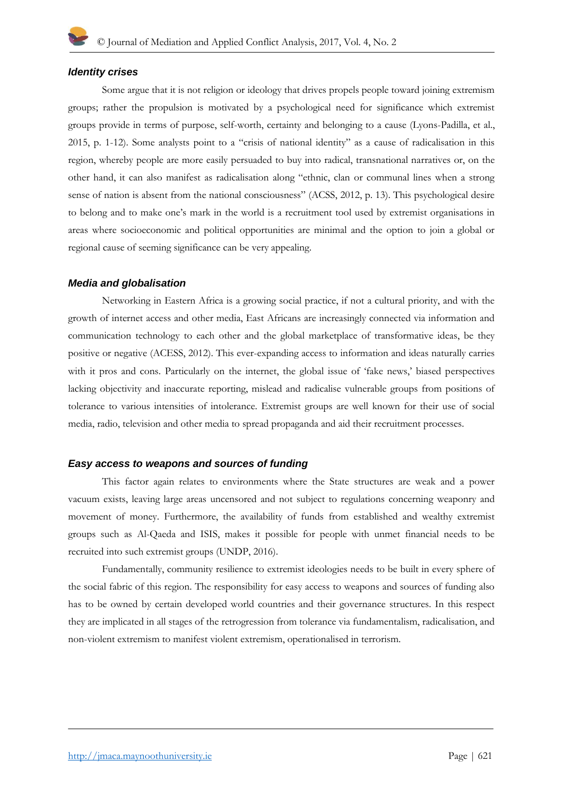#### *Identity crises*

Some argue that it is not religion or ideology that drives propels people toward joining extremism groups; rather the propulsion is motivated by a psychological need for significance which extremist groups provide in terms of purpose, self-worth, certainty and belonging to a cause (Lyons-Padilla, et al., 2015, p. 1-12). Some analysts point to a "crisis of national identity" as a cause of radicalisation in this region, whereby people are more easily persuaded to buy into radical, transnational narratives or, on the other hand, it can also manifest as radicalisation along "ethnic, clan or communal lines when a strong sense of nation is absent from the national consciousness" (ACSS, 2012, p. 13). This psychological desire to belong and to make one's mark in the world is a recruitment tool used by extremist organisations in areas where socioeconomic and political opportunities are minimal and the option to join a global or regional cause of seeming significance can be very appealing.

#### *Media and globalisation*

Networking in Eastern Africa is a growing social practice, if not a cultural priority, and with the growth of internet access and other media, East Africans are increasingly connected via information and communication technology to each other and the global marketplace of transformative ideas, be they positive or negative (ACESS, 2012). This ever-expanding access to information and ideas naturally carries with it pros and cons. Particularly on the internet, the global issue of 'fake news,' biased perspectives lacking objectivity and inaccurate reporting, mislead and radicalise vulnerable groups from positions of tolerance to various intensities of intolerance. Extremist groups are well known for their use of social media, radio, television and other media to spread propaganda and aid their recruitment processes.

# *Easy access to weapons and sources of funding*

This factor again relates to environments where the State structures are weak and a power vacuum exists, leaving large areas uncensored and not subject to regulations concerning weaponry and movement of money. Furthermore, the availability of funds from established and wealthy extremist groups such as Al-Qaeda and ISIS, makes it possible for people with unmet financial needs to be recruited into such extremist groups (UNDP, 2016).

Fundamentally, community resilience to extremist ideologies needs to be built in every sphere of the social fabric of this region. The responsibility for easy access to weapons and sources of funding also has to be owned by certain developed world countries and their governance structures. In this respect they are implicated in all stages of the retrogression from tolerance via fundamentalism, radicalisation, and non-violent extremism to manifest violent extremism, operationalised in terrorism.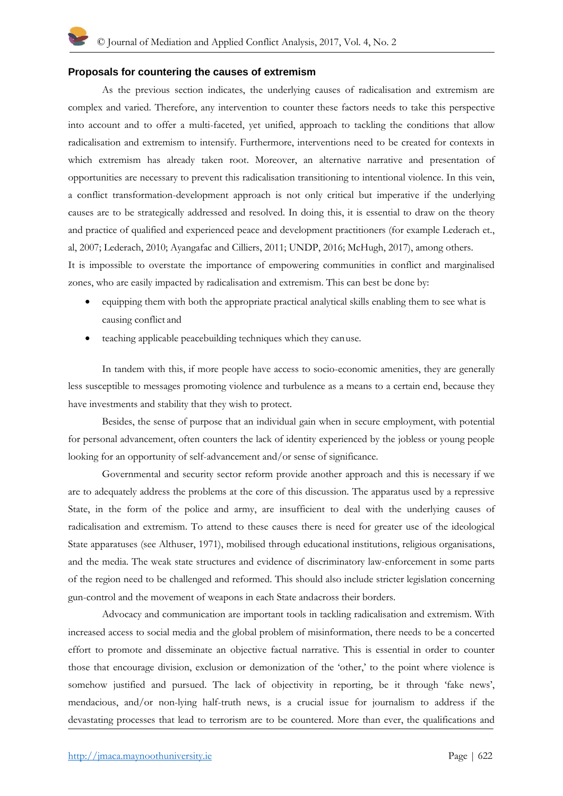#### **Proposals for countering the causes of extremism**

As the previous section indicates, the underlying causes of radicalisation and extremism are complex and varied. Therefore, any intervention to counter these factors needs to take this perspective into account and to offer a multi-faceted, yet unified, approach to tackling the conditions that allow radicalisation and extremism to intensify. Furthermore, interventions need to be created for contexts in which extremism has already taken root. Moreover, an alternative narrative and presentation of opportunities are necessary to prevent this radicalisation transitioning to intentional violence. In this vein, a conflict transformation-development approach is not only critical but imperative if the underlying causes are to be strategically addressed and resolved. In doing this, it is essential to draw on the theory and practice of qualified and experienced peace and development practitioners (for example Lederach et., al, 2007; Lederach, 2010; Ayangafac and Cilliers, 2011; UNDP, 2016; McHugh, 2017), among others. It is impossible to overstate the importance of empowering communities in conflict and marginalised

zones, who are easily impacted by radicalisation and extremism. This can best be done by:

- equipping them with both the appropriate practical analytical skills enabling them to see what is causing conflict and
- teaching applicable peacebuilding techniques which they canuse.

In tandem with this, if more people have access to socio-economic amenities, they are generally less susceptible to messages promoting violence and turbulence as a means to a certain end, because they have investments and stability that they wish to protect.

Besides, the sense of purpose that an individual gain when in secure employment, with potential for personal advancement, often counters the lack of identity experienced by the jobless or young people looking for an opportunity of self-advancement and/or sense of significance.

Governmental and security sector reform provide another approach and this is necessary if we are to adequately address the problems at the core of this discussion. The apparatus used by a repressive State, in the form of the police and army, are insufficient to deal with the underlying causes of radicalisation and extremism. To attend to these causes there is need for greater use of the ideological State apparatuses (see Althuser, 1971), mobilised through educational institutions, religious organisations, and the media. The weak state structures and evidence of discriminatory law-enforcement in some parts of the region need to be challenged and reformed. This should also include stricter legislation concerning gun-control and the movement of weapons in each State andacross their borders.

Advocacy and communication are important tools in tackling radicalisation and extremism. With increased access to social media and the global problem of misinformation, there needs to be a concerted effort to promote and disseminate an objective factual narrative. This is essential in order to counter those that encourage division, exclusion or demonization of the 'other,' to the point where violence is somehow justified and pursued. The lack of objectivity in reporting, be it through 'fake news', mendacious, and/or non-lying half-truth news, is a crucial issue for journalism to address if the devastating processes that lead to terrorism are to be countered. More than ever, the qualifications and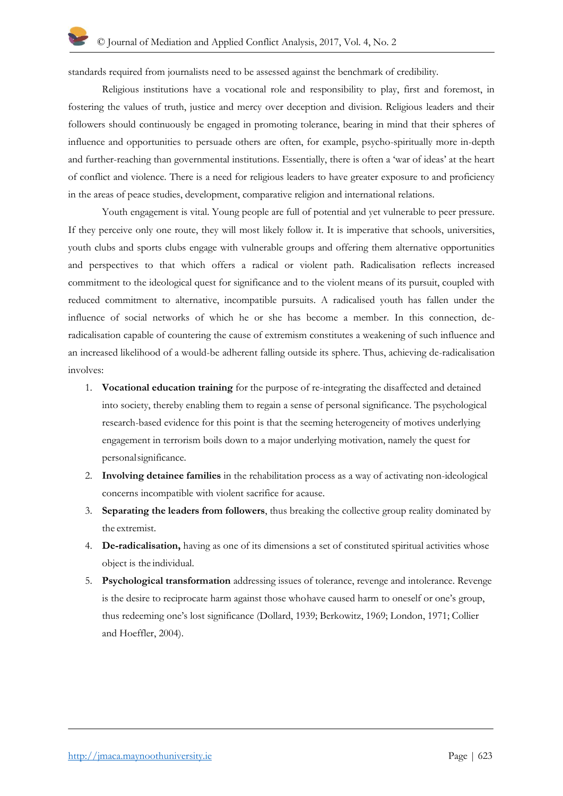standards required from journalists need to be assessed against the benchmark of credibility.

Religious institutions have a vocational role and responsibility to play, first and foremost, in fostering the values of truth, justice and mercy over deception and division. Religious leaders and their followers should continuously be engaged in promoting tolerance, bearing in mind that their spheres of influence and opportunities to persuade others are often, for example, psycho-spiritually more in-depth and further-reaching than governmental institutions. Essentially, there is often a 'war of ideas' at the heart of conflict and violence. There is a need for religious leaders to have greater exposure to and proficiency in the areas of peace studies, development, comparative religion and international relations.

Youth engagement is vital. Young people are full of potential and yet vulnerable to peer pressure. If they perceive only one route, they will most likely follow it. It is imperative that schools, universities, youth clubs and sports clubs engage with vulnerable groups and offering them alternative opportunities and perspectives to that which offers a radical or violent path. Radicalisation reflects increased commitment to the ideological quest for significance and to the violent means of its pursuit, coupled with reduced commitment to alternative, incompatible pursuits. A radicalised youth has fallen under the influence of social networks of which he or she has become a member. In this connection, deradicalisation capable of countering the cause of extremism constitutes a weakening of such influence and an increased likelihood of a would-be adherent falling outside its sphere. Thus, achieving de-radicalisation involves:

- 1. **Vocational education training** for the purpose of re-integrating the disaffected and detained into society, thereby enabling them to regain a sense of personal significance. The psychological research-based evidence for this point is that the seeming heterogeneity of motives underlying engagement in terrorism boils down to a major underlying motivation, namely the quest for personalsignificance.
- 2. **Involving detainee families** in the rehabilitation process as a way of activating non-ideological concerns incompatible with violent sacrifice for acause.
- 3. **Separating the leaders from followers**, thus breaking the collective group reality dominated by the extremist.
- 4. **De-radicalisation,** having as one of its dimensions a set of constituted spiritual activities whose object is the individual.
- 5. **Psychological transformation** addressing issues of tolerance, revenge and intolerance. Revenge is the desire to reciprocate harm against those whohave caused harm to oneself or one's group, thus redeeming one's lost significance (Dollard, 1939; Berkowitz, 1969; London, 1971; Collier and Hoeffler, 2004).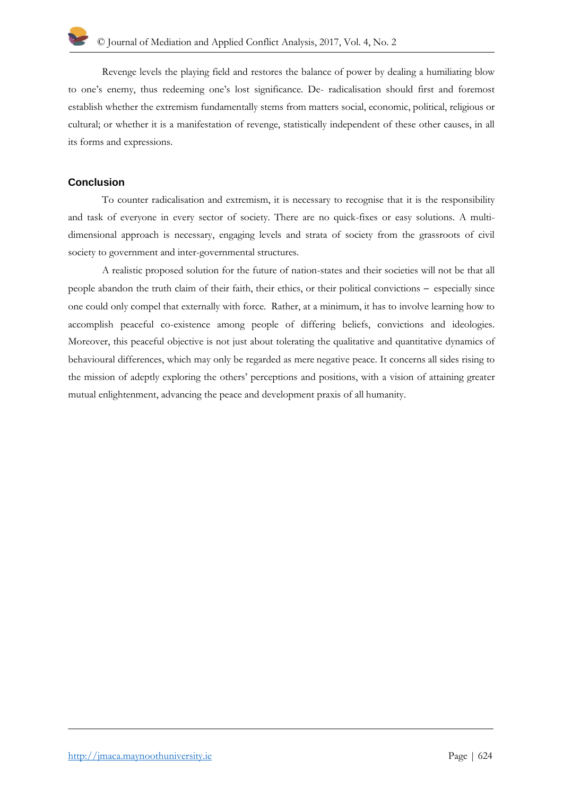Revenge levels the playing field and restores the balance of power by dealing a humiliating blow to one's enemy, thus redeeming one's lost significance. De- radicalisation should first and foremost establish whether the extremism fundamentally stems from matters social, economic, political, religious or cultural; or whether it is a manifestation of revenge, statistically independent of these other causes, in all its forms and expressions.

# **Conclusion**

To counter radicalisation and extremism, it is necessary to recognise that it is the responsibility and task of everyone in every sector of society. There are no quick-fixes or easy solutions. A multidimensional approach is necessary, engaging levels and strata of society from the grassroots of civil society to government and inter-governmental structures.

A realistic proposed solution for the future of nation-states and their societies will not be that all people abandon the truth claim of their faith, their ethics, or their political convictions – especially since one could only compel that externally with force. Rather, at a minimum, it has to involve learning how to accomplish peaceful co-existence among people of differing beliefs, convictions and ideologies. Moreover, this peaceful objective is not just about tolerating the qualitative and quantitative dynamics of behavioural differences, which may only be regarded as mere negative peace. It concerns all sides rising to the mission of adeptly exploring the others' perceptions and positions, with a vision of attaining greater mutual enlightenment, advancing the peace and development praxis of all humanity.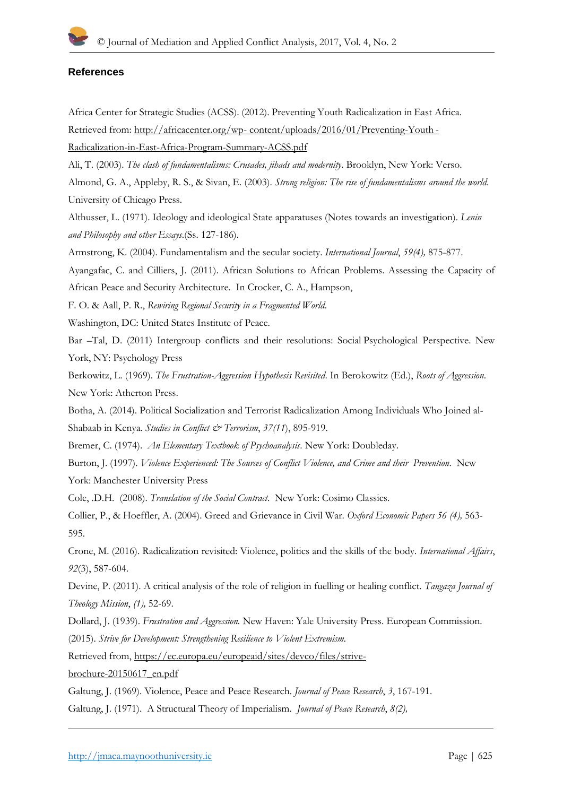### **References**

Africa Center for Strategic Studies (ACSS). (2012). Preventing Youth Radicalization in East Africa. Retrieved from:<http://africacenter.org/wp-> content/uploads/2016/01/Preventing-Youth - Radicalization-in-East-Africa-Program-Summary-ACSS.pdf

Ali, T. (2003). *The clash of fundamentalisms: Crusades, jihads and modernity*. Brooklyn, New York: Verso.

Almond, G. A., Appleby, R. S., & Sivan, E. (2003). *Strong religion: The rise of fundamentalisms around the world*. University of Chicago Press.

Althusser, L. (1971). Ideology and ideological State apparatuses (Notes towards an investigation). *Lenin and Philosophy and other Essays*.(Ss. 127-186).

Armstrong, K. (2004). Fundamentalism and the secular society. *International Journal*, *59(4),* 875-877.

Ayangafac, C. and Cilliers, J. (2011). African Solutions to African Problems. Assessing the Capacity of African Peace and Security Architecture. In Crocker, C. A., Hampson,

F. O. & Aall, P. R., *Rewiring Regional Security in a Fragmented World*.

Washington, DC: United States Institute of Peace.

Bar –Tal, D. (2011) Intergroup conflicts and their resolutions: Social Psychological Perspective. New York, NY: Psychology Press

Berkowitz, L. (1969). *The Frustration-Aggression Hypothesis Revisited*. In Berokowitz (Ed.), *Roots of Aggression*. New York: Atherton Press.

Botha, A. (2014). Political Socialization and Terrorist Radicalization Among Individuals Who Joined al-Shabaab in Kenya. *Studies in Conflict & Terrorism*, *37(11*), 895-919.

Bremer, C. (1974). *An Elementary Textbook of Psychoanalysis*. New York: Doubleday.

Burton, J. (1997). *Violence Experienced: The Sources of Conflict Violence, and Crime and their Prevention*. New York: Manchester University Press

[Cole, .D.H. \(2008\).](https://en.wikipedia.org/wiki/Jean-Jacques_Rousseau) *Translation of the Social Contract*. New York: Cosimo Classics.

Collier, P., & Hoeffler, A. (2004). Greed and Grievance in Civil War. *Oxford Economic Papers 56 (4),* 563- 595.

Crone, M. (2016). Radicalization revisited: Violence, politics and the skills of the body. *International Affairs*, *92*(3), 587-604.

Devine, P. (2011). A critical analysis of the role of religion in fuelling or healing conflict. *Tangaza Journal of Theology Mission*, *(1),* 52-69.

Dollard, J. (1939). *Frustration and Aggression.* New Haven: Yale University Press. European Commission. (2015). *Strive for Development: Strengthening Resilience to Violent Extremism.*

Retrieved from, [https://ec.europa.eu/europeaid/sites/devco/files/strive-](https://ec.europa.eu/europeaid/sites/devco/files/strive-brochure-20150617_en.pdf)

[brochure-20150617\\_en.pdf](https://ec.europa.eu/europeaid/sites/devco/files/strive-brochure-20150617_en.pdf)

Galtung, J. (1969). Violence, Peace and Peace Research. *Journal of Peace Research*, *3*, 167-191.

Galtung, J. (1971). A Structural Theory of Imperialism. *Journal of Peace Research*, *8(2),*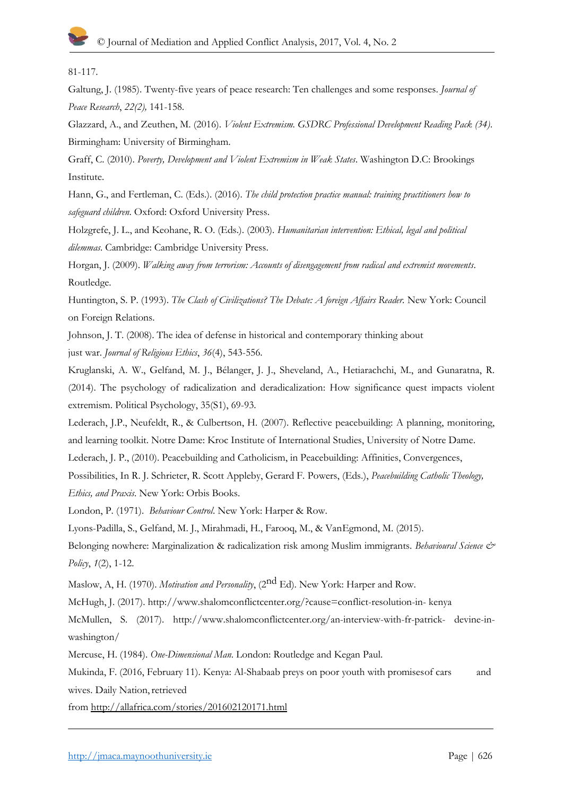81-117.

Galtung, J. (1985). Twenty-five years of peace research: Ten challenges and some responses. *Journal of Peace Research*, *22(2),* 141-158.

Glazzard, A., and Zeuthen, M. (2016). *Violent Extremism. GSDRC Professional Development Reading Pack (34)*. Birmingham: University of Birmingham.

Graff, C. (2010). *Poverty, Development and Violent Extremism in Weak States*. Washington D.C: Brookings Institute.

Hann, G., and Fertleman, C. (Eds.). (2016). *The child protection practice manual: training practitioners how to safeguard children*. Oxford: Oxford University Press.

Holzgrefe, J. L., and Keohane, R. O. (Eds.). (2003). *Humanitarian intervention: Ethical, legal and political dilemmas*. Cambridge: Cambridge University Press.

Horgan, J. (2009). *Walking away from terrorism: Accounts of disengagement from radical and extremist movements*. Routledge.

Huntington, S. P. (1993). *The Clash of Civilizations? The Debate: A foreign Affairs Reader.* New York: Council on Foreign Relations.

Johnson, J. T. (2008). The idea of defense in historical and contemporary thinking about just war. *Journal of Religious Ethics*, *36*(4), 543-556.

Kruglanski, A. W., Gelfand, M. J., Bélanger, J. J., Sheveland, A., Hetiarachchi, M., and Gunaratna, R. (2014). The psychology of radicalization and deradicalization: How significance quest impacts violent extremism. Political Psychology, 35(S1), 69-93.

Lederach, J.P., Neufeldt, R., & Culbertson, H. (2007). Reflective peacebuilding: A planning, monitoring, and learning toolkit. Notre Dame: Kroc Institute of International Studies, University of Notre Dame.

Lederach, J. P., (2010). Peacebuilding and Catholicism, in Peacebuilding: Affinities, Convergences,

Possibilities, In R. J. Schrieter, R. Scott Appleby, Gerard F. Powers, (Eds.), *Peacebuilding Catholic Theology, Ethics, and Praxis*. New York: Orbis Books.

London, P. (1971). *Behaviour Control*. New York: Harper & Row.

Lyons-Padilla, S., Gelfand, M. J., Mirahmadi, H., Farooq, M., & VanEgmond, M. (2015).

Belonging nowhere: Marginalization & radicalization risk among Muslim immigrants. *Behavioural Science & Policy*, *1*(2), 1-12.

Maslow, A, H. (1970). *Motivation and Personality*, (2<sup>nd</sup> Ed). New York: Harper and Row.

McHugh, J. (2017).<http://www.shalomconflictcenter.org/?cause=conflict-resolution-in-> kenya

McMullen, S. (2017). <http://www.shalomconflictcenter.org/an-interview-with-fr-patrick-> devine-inwashington/

Mercuse, H. (1984). *One-Dimensional Man*. London: Routledge and Kegan Paul.

Mukinda, F. (2016, February 11). Kenya: Al-Shabaab preys on poor youth with promisesof cars and wives. Daily Nation, retrieved

from<http://allafrica.com/stories/201602120171.html>